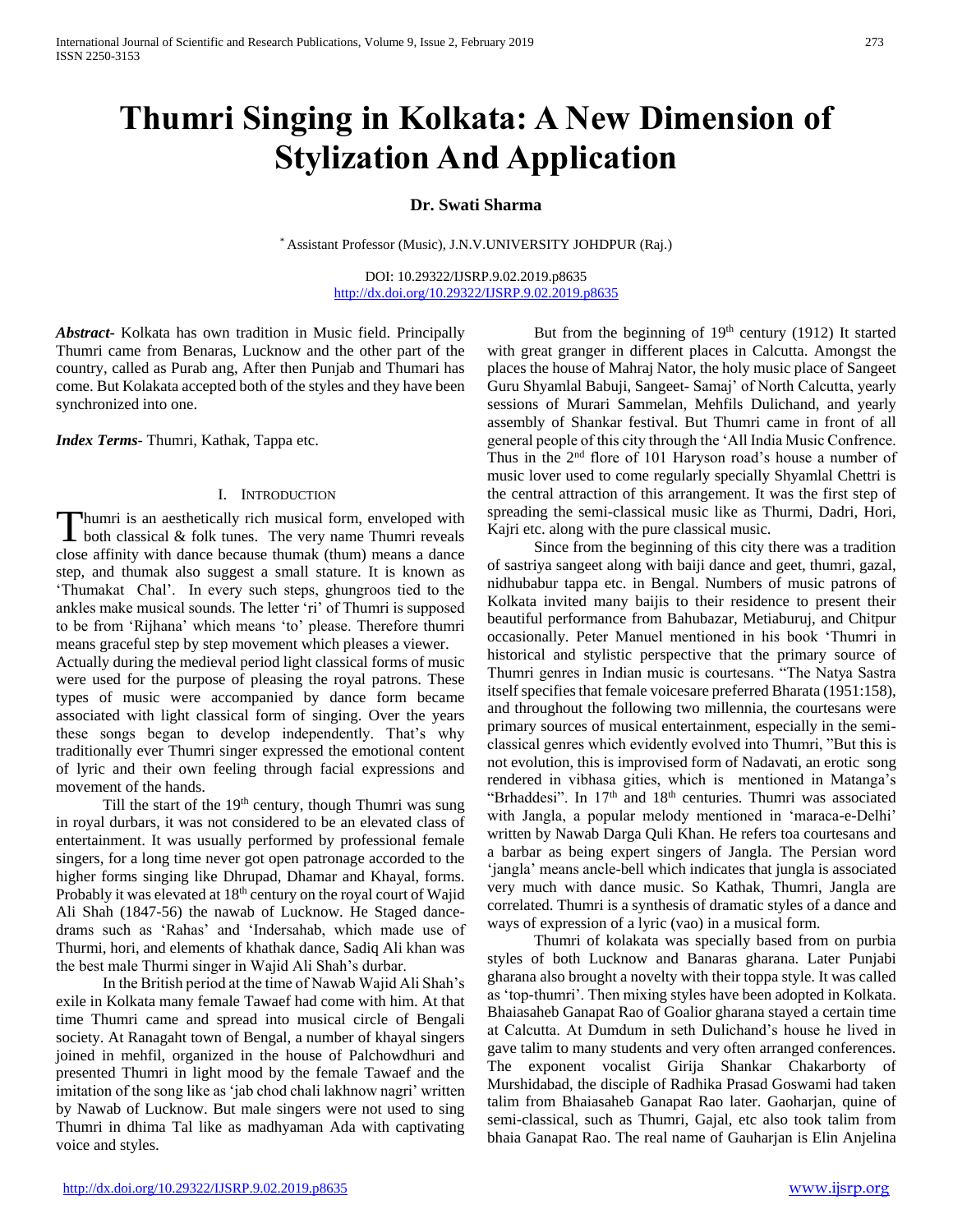# **Thumri Singing in Kolkata: A New Dimension of Stylization And Application**

## **Dr. Swati Sharma**

\* Assistant Professor (Music), J.N.V.UNIVERSITY JOHDPUR (Raj.)

DOI: 10.29322/IJSRP.9.02.2019.p8635 <http://dx.doi.org/10.29322/IJSRP.9.02.2019.p8635>

*Abstract***-** Kolkata has own tradition in Music field. Principally Thumri came from Benaras, Lucknow and the other part of the country, called as Purab ang, After then Punjab and Thumari has come. But Kolakata accepted both of the styles and they have been synchronized into one.

*Index Terms*- Thumri, Kathak, Tappa etc.

### I. INTRODUCTION

humri is an aesthetically rich musical form, enveloped with Thumri is an aesthetically rich musical form, enveloped with<br>both classical & folk tunes. The very name Thumri reveals close affinity with dance because thumak (thum) means a dance step, and thumak also suggest a small stature. It is known as 'Thumakat Chal'. In every such steps, ghungroos tied to the ankles make musical sounds. The letter 'ri' of Thumri is supposed to be from 'Rijhana' which means 'to' please. Therefore thumri means graceful step by step movement which pleases a viewer.

Actually during the medieval period light classical forms of music were used for the purpose of pleasing the royal patrons. These types of music were accompanied by dance form became associated with light classical form of singing. Over the years these songs began to develop independently. That's why traditionally ever Thumri singer expressed the emotional content of lyric and their own feeling through facial expressions and movement of the hands.

Till the start of the  $19<sup>th</sup>$  century, though Thumri was sung in royal durbars, it was not considered to be an elevated class of entertainment. It was usually performed by professional female singers, for a long time never got open patronage accorded to the higher forms singing like Dhrupad, Dhamar and Khayal, forms. Probably it was elevated at 18<sup>th</sup> century on the royal court of Wajid Ali Shah (1847-56) the nawab of Lucknow. He Staged dancedrams such as 'Rahas' and 'Indersahab, which made use of Thurmi, hori, and elements of khathak dance, Sadiq Ali khan was the best male Thurmi singer in Wajid Ali Shah's durbar.

 In the British period at the time of Nawab Wajid Ali Shah's exile in Kolkata many female Tawaef had come with him. At that time Thumri came and spread into musical circle of Bengali society. At Ranagaht town of Bengal, a number of khayal singers joined in mehfil, organized in the house of Palchowdhuri and presented Thumri in light mood by the female Tawaef and the imitation of the song like as 'jab chod chali lakhnow nagri' written by Nawab of Lucknow. But male singers were not used to sing Thumri in dhima Tal like as madhyaman Ada with captivating voice and styles.

But from the beginning of 19<sup>th</sup> century (1912) It started with great granger in different places in Calcutta. Amongst the places the house of Mahraj Nator, the holy music place of Sangeet Guru Shyamlal Babuji, Sangeet- Samaj' of North Calcutta, yearly sessions of Murari Sammelan, Mehfils Dulichand, and yearly assembly of Shankar festival. But Thumri came in front of all general people of this city through the 'All India Music Confrence. Thus in the 2nd flore of 101 Haryson road's house a number of music lover used to come regularly specially Shyamlal Chettri is the central attraction of this arrangement. It was the first step of spreading the semi-classical music like as Thurmi, Dadri, Hori, Kajri etc. along with the pure classical music.

 Since from the beginning of this city there was a tradition of sastriya sangeet along with baiji dance and geet, thumri, gazal, nidhubabur tappa etc. in Bengal. Numbers of music patrons of Kolkata invited many baijis to their residence to present their beautiful performance from Bahubazar, Metiaburuj, and Chitpur occasionally. Peter Manuel mentioned in his book 'Thumri in historical and stylistic perspective that the primary source of Thumri genres in Indian music is courtesans. "The Natya Sastra itself specifies that female voicesare preferred Bharata (1951:158), and throughout the following two millennia, the courtesans were primary sources of musical entertainment, especially in the semiclassical genres which evidently evolved into Thumri, "But this is not evolution, this is improvised form of Nadavati, an erotic song rendered in vibhasa gities, which is mentioned in Matanga's "Brhaddesi". In  $17<sup>th</sup>$  and  $18<sup>th</sup>$  centuries. Thumri was associated with Jangla, a popular melody mentioned in 'maraca-e-Delhi' written by Nawab Darga Quli Khan. He refers toa courtesans and a barbar as being expert singers of Jangla. The Persian word 'jangla' means ancle-bell which indicates that jungla is associated very much with dance music. So Kathak, Thumri, Jangla are correlated. Thumri is a synthesis of dramatic styles of a dance and ways of expression of a lyric (vao) in a musical form.

 Thumri of kolakata was specially based from on purbia styles of both Lucknow and Banaras gharana. Later Punjabi gharana also brought a novelty with their toppa style. It was called as 'top-thumri'. Then mixing styles have been adopted in Kolkata. Bhaiasaheb Ganapat Rao of Goalior gharana stayed a certain time at Calcutta. At Dumdum in seth Dulichand's house he lived in gave talim to many students and very often arranged conferences. The exponent vocalist Girija Shankar Chakarborty of Murshidabad, the disciple of Radhika Prasad Goswami had taken talim from Bhaiasaheb Ganapat Rao later. Gaoharjan, quine of semi-classical, such as Thumri, Gajal, etc also took talim from bhaia Ganapat Rao. The real name of Gauharjan is Elin Anjelina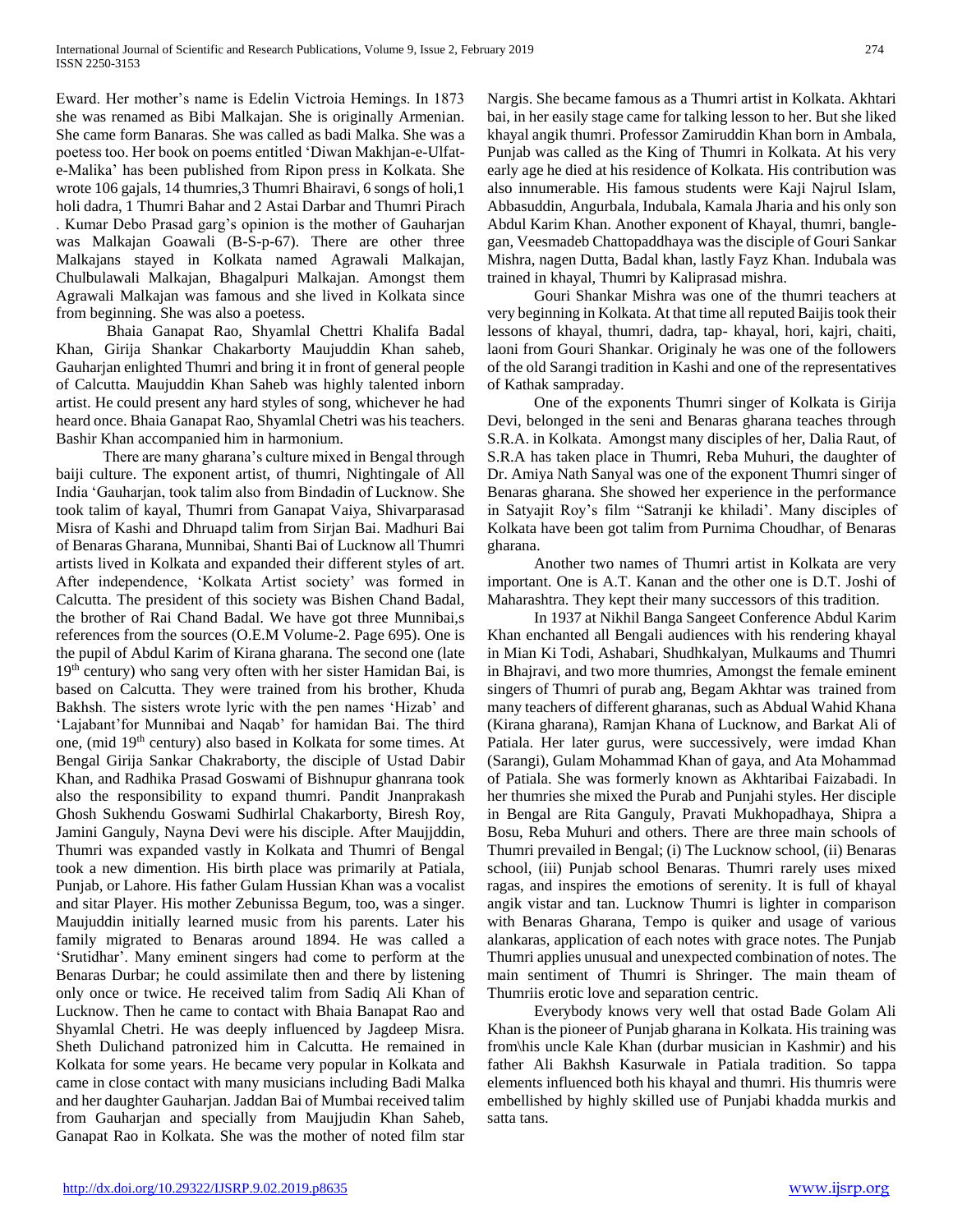Eward. Her mother's name is Edelin Victroia Hemings. In 1873 she was renamed as Bibi Malkajan. She is originally Armenian. She came form Banaras. She was called as badi Malka. She was a poetess too. Her book on poems entitled 'Diwan Makhjan-e-Ulfate-Malika' has been published from Ripon press in Kolkata. She wrote 106 gajals, 14 thumries,3 Thumri Bhairavi, 6 songs of holi,1 holi dadra, 1 Thumri Bahar and 2 Astai Darbar and Thumri Pirach . Kumar Debo Prasad garg's opinion is the mother of Gauharjan was Malkajan Goawali (B-S-p-67). There are other three Malkajans stayed in Kolkata named Agrawali Malkajan, Chulbulawali Malkajan, Bhagalpuri Malkajan. Amongst them Agrawali Malkajan was famous and she lived in Kolkata since from beginning. She was also a poetess.

 Bhaia Ganapat Rao, Shyamlal Chettri Khalifa Badal Khan, Girija Shankar Chakarborty Maujuddin Khan saheb, Gauharjan enlighted Thumri and bring it in front of general people of Calcutta. Maujuddin Khan Saheb was highly talented inborn artist. He could present any hard styles of song, whichever he had heard once. Bhaia Ganapat Rao, Shyamlal Chetri was his teachers. Bashir Khan accompanied him in harmonium.

 There are many gharana's culture mixed in Bengal through baiji culture. The exponent artist, of thumri, Nightingale of All India 'Gauharjan, took talim also from Bindadin of Lucknow. She took talim of kayal, Thumri from Ganapat Vaiya, Shivarparasad Misra of Kashi and Dhruapd talim from Sirjan Bai. Madhuri Bai of Benaras Gharana, Munnibai, Shanti Bai of Lucknow all Thumri artists lived in Kolkata and expanded their different styles of art. After independence, 'Kolkata Artist society' was formed in Calcutta. The president of this society was Bishen Chand Badal, the brother of Rai Chand Badal. We have got three Munnibai,s references from the sources (O.E.M Volume-2. Page 695). One is the pupil of Abdul Karim of Kirana gharana. The second one (late 19<sup>th</sup> century) who sang very often with her sister Hamidan Bai, is based on Calcutta. They were trained from his brother, Khuda Bakhsh. The sisters wrote lyric with the pen names 'Hizab' and 'Lajabant'for Munnibai and Naqab' for hamidan Bai. The third one, (mid 19th century) also based in Kolkata for some times. At Bengal Girija Sankar Chakraborty, the disciple of Ustad Dabir Khan, and Radhika Prasad Goswami of Bishnupur ghanrana took also the responsibility to expand thumri. Pandit Jnanprakash Ghosh Sukhendu Goswami Sudhirlal Chakarborty, Biresh Roy, Jamini Ganguly, Nayna Devi were his disciple. After Maujjddin, Thumri was expanded vastly in Kolkata and Thumri of Bengal took a new dimention. His birth place was primarily at Patiala, Punjab, or Lahore. His father Gulam Hussian Khan was a vocalist and sitar Player. His mother Zebunissa Begum, too, was a singer. Maujuddin initially learned music from his parents. Later his family migrated to Benaras around 1894. He was called a 'Srutidhar'. Many eminent singers had come to perform at the Benaras Durbar; he could assimilate then and there by listening only once or twice. He received talim from Sadiq Ali Khan of Lucknow. Then he came to contact with Bhaia Banapat Rao and Shyamlal Chetri. He was deeply influenced by Jagdeep Misra. Sheth Dulichand patronized him in Calcutta. He remained in Kolkata for some years. He became very popular in Kolkata and came in close contact with many musicians including Badi Malka and her daughter Gauharjan. Jaddan Bai of Mumbai received talim from Gauharjan and specially from Maujjudin Khan Saheb, Ganapat Rao in Kolkata. She was the mother of noted film star

Nargis. She became famous as a Thumri artist in Kolkata. Akhtari bai, in her easily stage came for talking lesson to her. But she liked khayal angik thumri. Professor Zamiruddin Khan born in Ambala, Punjab was called as the King of Thumri in Kolkata. At his very early age he died at his residence of Kolkata. His contribution was also innumerable. His famous students were Kaji Najrul Islam, Abbasuddin, Angurbala, Indubala, Kamala Jharia and his only son Abdul Karim Khan. Another exponent of Khayal, thumri, banglegan, Veesmadeb Chattopaddhaya was the disciple of Gouri Sankar Mishra, nagen Dutta, Badal khan, lastly Fayz Khan. Indubala was trained in khayal, Thumri by Kaliprasad mishra.

 Gouri Shankar Mishra was one of the thumri teachers at very beginning in Kolkata. At that time all reputed Baijis took their lessons of khayal, thumri, dadra, tap- khayal, hori, kajri, chaiti, laoni from Gouri Shankar. Originaly he was one of the followers of the old Sarangi tradition in Kashi and one of the representatives of Kathak sampraday.

 One of the exponents Thumri singer of Kolkata is Girija Devi, belonged in the seni and Benaras gharana teaches through S.R.A. in Kolkata. Amongst many disciples of her, Dalia Raut, of S.R.A has taken place in Thumri, Reba Muhuri, the daughter of Dr. Amiya Nath Sanyal was one of the exponent Thumri singer of Benaras gharana. She showed her experience in the performance in Satyajit Roy's film "Satranji ke khiladi'. Many disciples of Kolkata have been got talim from Purnima Choudhar, of Benaras gharana.

 Another two names of Thumri artist in Kolkata are very important. One is A.T. Kanan and the other one is D.T. Joshi of Maharashtra. They kept their many successors of this tradition.

 In 1937 at Nikhil Banga Sangeet Conference Abdul Karim Khan enchanted all Bengali audiences with his rendering khayal in Mian Ki Todi, Ashabari, Shudhkalyan, Mulkaums and Thumri in Bhajravi, and two more thumries, Amongst the female eminent singers of Thumri of purab ang, Begam Akhtar was trained from many teachers of different gharanas, such as Abdual Wahid Khana (Kirana gharana), Ramjan Khana of Lucknow, and Barkat Ali of Patiala. Her later gurus, were successively, were imdad Khan (Sarangi), Gulam Mohammad Khan of gaya, and Ata Mohammad of Patiala. She was formerly known as Akhtaribai Faizabadi. In her thumries she mixed the Purab and Punjahi styles. Her disciple in Bengal are Rita Ganguly, Pravati Mukhopadhaya, Shipra a Bosu, Reba Muhuri and others. There are three main schools of Thumri prevailed in Bengal; (i) The Lucknow school, (ii) Benaras school, (iii) Punjab school Benaras. Thumri rarely uses mixed ragas, and inspires the emotions of serenity. It is full of khayal angik vistar and tan. Lucknow Thumri is lighter in comparison with Benaras Gharana, Tempo is quiker and usage of various alankaras, application of each notes with grace notes. The Punjab Thumri applies unusual and unexpected combination of notes. The main sentiment of Thumri is Shringer. The main theam of Thumriis erotic love and separation centric.

 Everybody knows very well that ostad Bade Golam Ali Khan is the pioneer of Punjab gharana in Kolkata. His training was from\his uncle Kale Khan (durbar musician in Kashmir) and his father Ali Bakhsh Kasurwale in Patiala tradition. So tappa elements influenced both his khayal and thumri. His thumris were embellished by highly skilled use of Punjabi khadda murkis and satta tans.